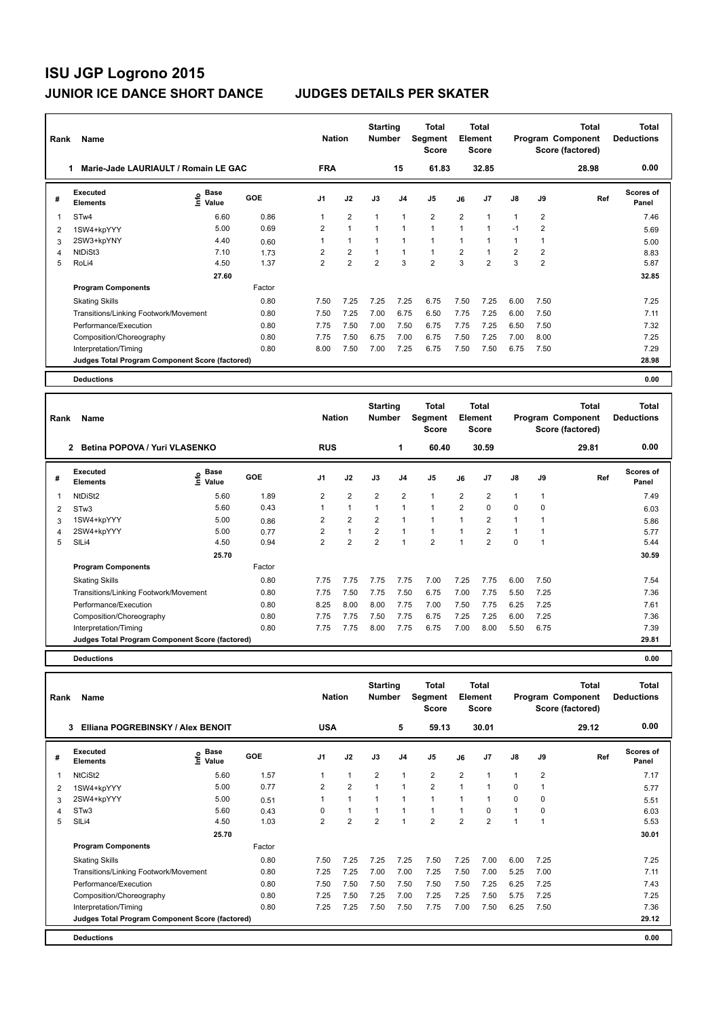| Rank | Name                                            |                                    |        | <b>Nation</b>  |                | <b>Starting</b><br><b>Number</b> |                | Total<br>Segment<br><b>Score</b> |                | Total<br>Element<br><b>Score</b> |                |                         | <b>Total</b><br>Program Component<br>Score (factored) | <b>Total</b><br><b>Deductions</b> |
|------|-------------------------------------------------|------------------------------------|--------|----------------|----------------|----------------------------------|----------------|----------------------------------|----------------|----------------------------------|----------------|-------------------------|-------------------------------------------------------|-----------------------------------|
|      | Marie-Jade LAURIAULT / Romain LE GAC            |                                    |        | <b>FRA</b>     |                |                                  | 15             | 61.83                            |                | 32.85                            |                |                         | 28.98                                                 | 0.00                              |
| #    | Executed<br><b>Elements</b>                     | <b>Base</b><br>$\frac{6}{5}$ Value | GOE    | J1             | J2             | J3                               | J <sub>4</sub> | J <sub>5</sub>                   | J6             | J <sub>7</sub>                   | $\mathsf{J}8$  | J9                      | Ref                                                   | <b>Scores of</b><br>Panel         |
|      | STw4                                            | 6.60                               | 0.86   |                | $\overline{2}$ | $\mathbf{1}$                     | $\mathbf{1}$   | $\overline{2}$                   | $\overline{2}$ | 1                                | 1              | $\overline{2}$          |                                                       | 7.46                              |
| 2    | 1SW4+kpYYY                                      | 5.00                               | 0.69   | 2              | $\mathbf{1}$   | $\overline{A}$                   | $\mathbf{1}$   | $\blacktriangleleft$             | 1              | 1                                | $-1$           | $\overline{2}$          |                                                       | 5.69                              |
| 3    | 2SW3+kpYNY                                      | 4.40                               | 0.60   |                | $\mathbf{1}$   | $\mathbf{1}$                     | 1              | $\overline{1}$                   | 1              | 1                                | 1              | 1                       |                                                       | 5.00                              |
| 4    | NtDiSt3                                         | 7.10                               | 1.73   | $\overline{2}$ | $\overline{2}$ | 1                                | $\mathbf{1}$   | $\mathbf{1}$                     | $\overline{2}$ | 1                                | $\overline{2}$ | $\overline{\mathbf{c}}$ |                                                       | 8.83                              |
| 5    | RoLi4                                           | 4.50                               | 1.37   | $\overline{2}$ | $\overline{2}$ | $\overline{2}$                   | 3              | $\overline{2}$                   | 3              | $\overline{2}$                   | 3              | $\overline{2}$          |                                                       | 5.87                              |
|      |                                                 | 27.60                              |        |                |                |                                  |                |                                  |                |                                  |                |                         |                                                       | 32.85                             |
|      | <b>Program Components</b>                       |                                    | Factor |                |                |                                  |                |                                  |                |                                  |                |                         |                                                       |                                   |
|      | <b>Skating Skills</b>                           |                                    | 0.80   | 7.50           | 7.25           | 7.25                             | 7.25           | 6.75                             | 7.50           | 7.25                             | 6.00           | 7.50                    |                                                       | 7.25                              |
|      | Transitions/Linking Footwork/Movement           |                                    | 0.80   | 7.50           | 7.25           | 7.00                             | 6.75           | 6.50                             | 7.75           | 7.25                             | 6.00           | 7.50                    |                                                       | 7.11                              |
|      | Performance/Execution                           |                                    | 0.80   | 7.75           | 7.50           | 7.00                             | 7.50           | 6.75                             | 7.75           | 7.25                             | 6.50           | 7.50                    |                                                       | 7.32                              |
|      | Composition/Choreography                        |                                    | 0.80   | 7.75           | 7.50           | 6.75                             | 7.00           | 6.75                             | 7.50           | 7.25                             | 7.00           | 8.00                    |                                                       | 7.25                              |
|      | Interpretation/Timing                           |                                    | 0.80   | 8.00           | 7.50           | 7.00                             | 7.25           | 6.75                             | 7.50           | 7.50                             | 6.75           | 7.50                    |                                                       | 7.29                              |
|      | Judges Total Program Component Score (factored) |                                    |        |                |                |                                  |                |                                  |                |                                  |                |                         |                                                       | 28.98                             |
|      | <b>Deductions</b>                               |                                    |        |                |                |                                  |                |                                  |                |                                  |                |                         |                                                       | 0.00                              |

| Rank | Name                                            |                            |        | <b>Nation</b>  |                | <b>Starting</b><br><b>Number</b> |                | Total<br>Segment<br><b>Score</b> |                | Total<br>Element<br>Score |                |                | <b>Total</b><br>Program Component<br>Score (factored) | <b>Total</b><br><b>Deductions</b> |
|------|-------------------------------------------------|----------------------------|--------|----------------|----------------|----------------------------------|----------------|----------------------------------|----------------|---------------------------|----------------|----------------|-------------------------------------------------------|-----------------------------------|
|      | Betina POPOVA / Yuri VLASENKO<br>$\mathbf{2}$   |                            |        | <b>RUS</b>     |                |                                  | 1              | 60.40                            |                | 30.59                     |                |                | 29.81                                                 | 0.00                              |
| #    | Executed<br><b>Elements</b>                     | e Base<br>E Value<br>Value | GOE    | J <sub>1</sub> | J2             | J3                               | J <sub>4</sub> | J <sub>5</sub>                   | J6             | J <sub>7</sub>            | J8             | J9             | Ref                                                   | <b>Scores of</b><br>Panel         |
| -1   | NtDiSt <sub>2</sub>                             | 5.60                       | 1.89   | $\overline{2}$ | $\overline{2}$ | $\overline{2}$                   | 2              | $\mathbf{1}$                     | $\overline{2}$ | $\overline{2}$            | $\mathbf{1}$   | $\overline{1}$ |                                                       | 7.49                              |
| 2    | STw3                                            | 5.60                       | 0.43   |                | $\mathbf{1}$   | 1                                | 1              | $\mathbf{1}$                     | $\overline{2}$ | 0                         | $\mathbf 0$    | 0              |                                                       | 6.03                              |
| 3    | 1SW4+kpYYY                                      | 5.00                       | 0.86   | 2              | $\overline{2}$ | $\overline{2}$                   | $\overline{ }$ | $\overline{1}$                   | $\overline{1}$ | $\overline{2}$            | $\overline{1}$ |                |                                                       | 5.86                              |
| 4    | 2SW4+kpYYY                                      | 5.00                       | 0.77   | $\overline{2}$ | $\mathbf{1}$   | $\overline{2}$                   | $\overline{1}$ | $\mathbf{1}$                     | $\overline{ }$ | $\overline{2}$            | $\overline{1}$ |                |                                                       | 5.77                              |
| 5    | SIL <sub>i4</sub>                               | 4.50                       | 0.94   | $\overline{2}$ | $\overline{2}$ | $\overline{2}$                   | $\overline{ }$ | $\overline{2}$                   | $\overline{ }$ | $\overline{2}$            | $\mathbf 0$    |                |                                                       | 5.44                              |
|      |                                                 | 25.70                      |        |                |                |                                  |                |                                  |                |                           |                |                |                                                       | 30.59                             |
|      | <b>Program Components</b>                       |                            | Factor |                |                |                                  |                |                                  |                |                           |                |                |                                                       |                                   |
|      | <b>Skating Skills</b>                           |                            | 0.80   | 7.75           | 7.75           | 7.75                             | 7.75           | 7.00                             | 7.25           | 7.75                      | 6.00           | 7.50           |                                                       | 7.54                              |
|      | Transitions/Linking Footwork/Movement           |                            | 0.80   | 7.75           | 7.50           | 7.75                             | 7.50           | 6.75                             | 7.00           | 7.75                      | 5.50           | 7.25           |                                                       | 7.36                              |
|      | Performance/Execution                           |                            | 0.80   | 8.25           | 8.00           | 8.00                             | 7.75           | 7.00                             | 7.50           | 7.75                      | 6.25           | 7.25           |                                                       | 7.61                              |
|      | Composition/Choreography                        |                            | 0.80   | 7.75           | 7.75           | 7.50                             | 7.75           | 6.75                             | 7.25           | 7.25                      | 6.00           | 7.25           |                                                       | 7.36                              |
|      | Interpretation/Timing                           |                            | 0.80   | 7.75           | 7.75           | 8.00                             | 7.75           | 6.75                             | 7.00           | 8.00                      | 5.50           | 6.75           |                                                       | 7.39                              |
|      | Judges Total Program Component Score (factored) |                            |        |                |                |                                  |                |                                  |                |                           |                |                |                                                       | 29.81                             |
|      | <b>Deductions</b>                               |                            |        |                |                |                                  |                |                                  |                |                           |                |                |                                                       | 0.00                              |

| Rank | Name                                            |                              |        | <b>Nation</b>  |                | <b>Starting</b><br><b>Number</b> |                          | Total<br>Segment<br><b>Score</b> |                | <b>Total</b><br>Element<br><b>Score</b> |                |                | Total<br>Program Component<br>Score (factored) | <b>Total</b><br><b>Deductions</b> |
|------|-------------------------------------------------|------------------------------|--------|----------------|----------------|----------------------------------|--------------------------|----------------------------------|----------------|-----------------------------------------|----------------|----------------|------------------------------------------------|-----------------------------------|
|      | Elliana POGREBINSKY / Alex BENOIT<br>3          |                              |        | <b>USA</b>     |                |                                  | 5                        | 59.13                            |                | 30.01                                   |                |                | 29.12                                          | 0.00                              |
| #    | <b>Executed</b><br><b>Elements</b>              | <b>Base</b><br>lnfo<br>Value | GOE    | J <sub>1</sub> | J2             | J3                               | J <sub>4</sub>           | J5                               | J6             | J <sub>7</sub>                          | $\mathsf{J}8$  | J9             | Ref                                            | <b>Scores of</b><br>Panel         |
|      | NtCiSt2                                         | 5.60                         | 1.57   |                | $\mathbf{1}$   | $\overline{2}$                   | $\overline{\phantom{a}}$ | $\overline{2}$                   | $\overline{2}$ |                                         | 1              | $\overline{2}$ |                                                | 7.17                              |
| 2    | 1SW4+kpYYY                                      | 5.00                         | 0.77   | $\overline{2}$ | $\overline{2}$ |                                  | $\overline{1}$           | $\overline{2}$                   | $\overline{ }$ |                                         | $\Omega$       |                |                                                | 5.77                              |
| 3    | 2SW4+kpYYY                                      | 5.00                         | 0.51   |                |                |                                  |                          | 1                                |                |                                         | 0              | 0              |                                                | 5.51                              |
| 4    | STw <sub>3</sub>                                | 5.60                         | 0.43   | $\Omega$       | $\mathbf{1}$   |                                  |                          | 1                                |                | $\Omega$                                | 1              | 0              |                                                | 6.03                              |
| 5    | SILi4                                           | 4.50                         | 1.03   | 2              | $\overline{2}$ | 2                                |                          | $\overline{2}$                   | $\overline{2}$ | 2                                       | $\overline{1}$ |                |                                                | 5.53                              |
|      |                                                 | 25.70                        |        |                |                |                                  |                          |                                  |                |                                         |                |                |                                                | 30.01                             |
|      | <b>Program Components</b>                       |                              | Factor |                |                |                                  |                          |                                  |                |                                         |                |                |                                                |                                   |
|      | <b>Skating Skills</b>                           |                              | 0.80   | 7.50           | 7.25           | 7.25                             | 7.25                     | 7.50                             | 7.25           | 7.00                                    | 6.00           | 7.25           |                                                | 7.25                              |
|      | Transitions/Linking Footwork/Movement           |                              | 0.80   | 7.25           | 7.25           | 7.00                             | 7.00                     | 7.25                             | 7.50           | 7.00                                    | 5.25           | 7.00           |                                                | 7.11                              |
|      | Performance/Execution                           |                              | 0.80   | 7.50           | 7.50           | 7.50                             | 7.50                     | 7.50                             | 7.50           | 7.25                                    | 6.25           | 7.25           |                                                | 7.43                              |
|      | Composition/Choreography                        |                              | 0.80   | 7.25           | 7.50           | 7.25                             | 7.00                     | 7.25                             | 7.25           | 7.50                                    | 5.75           | 7.25           |                                                | 7.25                              |
|      | Interpretation/Timing                           |                              | 0.80   | 7.25           | 7.25           | 7.50                             | 7.50                     | 7.75                             | 7.00           | 7.50                                    | 6.25           | 7.50           |                                                | 7.36                              |
|      | Judges Total Program Component Score (factored) |                              |        |                |                |                                  |                          |                                  |                |                                         |                |                |                                                | 29.12                             |
|      | <b>Deductions</b>                               |                              |        |                |                |                                  |                          |                                  |                |                                         |                |                |                                                | 0.00                              |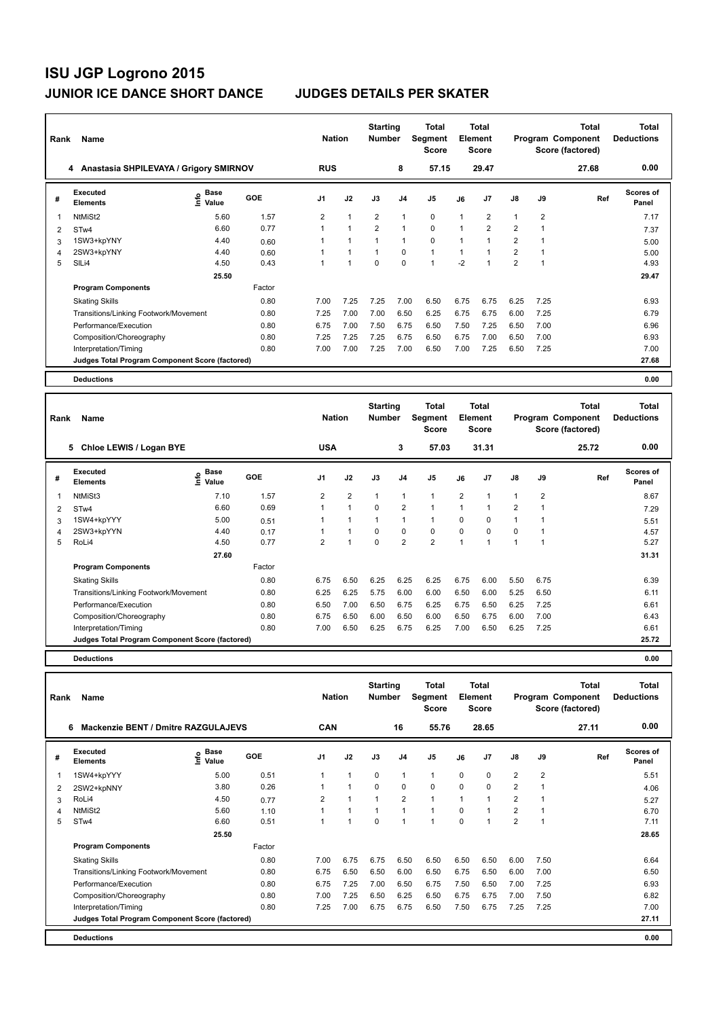| Rank | Name                                            |                                           |        | <b>Nation</b>  |                      | <b>Starting</b><br><b>Number</b> |                | Total<br>Segment<br><b>Score</b> |                | <b>Total</b><br>Element<br><b>Score</b> |                |                | <b>Total</b><br>Program Component<br>Score (factored) | <b>Total</b><br><b>Deductions</b> |
|------|-------------------------------------------------|-------------------------------------------|--------|----------------|----------------------|----------------------------------|----------------|----------------------------------|----------------|-----------------------------------------|----------------|----------------|-------------------------------------------------------|-----------------------------------|
|      | 4 Anastasia SHPILEVAYA / Grigory SMIRNOV        |                                           |        | <b>RUS</b>     |                      |                                  | 8              | 57.15                            |                | 29.47                                   |                |                | 27.68                                                 | 0.00                              |
| #    | Executed<br><b>Elements</b>                     | $\frac{e}{E}$ Base<br>$\frac{E}{E}$ Value | GOE    | J <sub>1</sub> | J2                   | J3                               | J <sub>4</sub> | J <sub>5</sub>                   | J6             | J <sub>7</sub>                          | $\mathsf{J}8$  | J9             | Ref                                                   | Scores of<br>Panel                |
|      | NtMiSt2                                         | 5.60                                      | 1.57   | $\overline{2}$ | $\overline{1}$       | $\overline{2}$                   | $\mathbf{1}$   | $\mathbf 0$                      | 1              | $\overline{2}$                          | 1              | $\overline{2}$ |                                                       | 7.17                              |
| 2    | ST <sub>w</sub> 4                               | 6.60                                      | 0.77   |                | $\blacktriangleleft$ | 2                                | $\mathbf{1}$   | $\Omega$                         | $\overline{1}$ | $\overline{2}$                          | $\overline{2}$ |                |                                                       | 7.37                              |
| 3    | 1SW3+kpYNY                                      | 4.40                                      | 0.60   |                | 1                    | $\mathbf{1}$                     | $\mathbf{1}$   | $\mathbf 0$                      | 1              | 1                                       | $\overline{2}$ |                |                                                       | 5.00                              |
| 4    | 2SW3+kpYNY                                      | 4.40                                      | 0.60   |                | $\blacktriangleleft$ | $\mathbf{1}$                     | $\Omega$       | $\mathbf{1}$                     |                |                                         | $\overline{2}$ |                |                                                       | 5.00                              |
| 5    | SILi4                                           | 4.50                                      | 0.43   |                |                      | $\Omega$                         | $\Omega$       | $\overline{1}$                   | $-2$           |                                         | $\overline{2}$ |                |                                                       | 4.93                              |
|      |                                                 | 25.50                                     |        |                |                      |                                  |                |                                  |                |                                         |                |                |                                                       | 29.47                             |
|      | <b>Program Components</b>                       |                                           | Factor |                |                      |                                  |                |                                  |                |                                         |                |                |                                                       |                                   |
|      | <b>Skating Skills</b>                           |                                           | 0.80   | 7.00           | 7.25                 | 7.25                             | 7.00           | 6.50                             | 6.75           | 6.75                                    | 6.25           | 7.25           |                                                       | 6.93                              |
|      | Transitions/Linking Footwork/Movement           |                                           | 0.80   | 7.25           | 7.00                 | 7.00                             | 6.50           | 6.25                             | 6.75           | 6.75                                    | 6.00           | 7.25           |                                                       | 6.79                              |
|      | Performance/Execution                           |                                           | 0.80   | 6.75           | 7.00                 | 7.50                             | 6.75           | 6.50                             | 7.50           | 7.25                                    | 6.50           | 7.00           |                                                       | 6.96                              |
|      | Composition/Choreography                        |                                           | 0.80   | 7.25           | 7.25                 | 7.25                             | 6.75           | 6.50                             | 6.75           | 7.00                                    | 6.50           | 7.00           |                                                       | 6.93                              |
|      | Interpretation/Timing                           |                                           | 0.80   | 7.00           | 7.00                 | 7.25                             | 7.00           | 6.50                             | 7.00           | 7.25                                    | 6.50           | 7.25           |                                                       | 7.00                              |
|      | Judges Total Program Component Score (factored) |                                           |        |                |                      |                                  |                |                                  |                |                                         |                |                |                                                       | 27.68                             |
|      | <b>Deductions</b>                               |                                           |        |                |                      |                                  |                |                                  |                |                                         |                |                |                                                       | 0.00                              |

| Rank | Name                                            |                              |        | <b>Nation</b>  |                      | <b>Starting</b><br><b>Number</b> |                | Total<br>Segment<br><b>Score</b> |                | <b>Total</b><br>Element<br><b>Score</b> |                |                | <b>Total</b><br>Program Component<br>Score (factored) | <b>Total</b><br><b>Deductions</b> |
|------|-------------------------------------------------|------------------------------|--------|----------------|----------------------|----------------------------------|----------------|----------------------------------|----------------|-----------------------------------------|----------------|----------------|-------------------------------------------------------|-----------------------------------|
|      | 5<br>Chloe LEWIS / Logan BYE                    |                              |        | <b>USA</b>     |                      |                                  | 3              | 57.03                            |                | 31.31                                   |                |                | 25.72                                                 | 0.00                              |
| #    | Executed<br><b>Elements</b>                     | <b>Base</b><br>lnfo<br>Value | GOE    | J1             | J2                   | J3                               | J <sub>4</sub> | J <sub>5</sub>                   | J6             | J7                                      | $\mathsf{J}8$  | J9             | Ref                                                   | <b>Scores of</b><br>Panel         |
| 1    | NtMiSt3                                         | 7.10                         | 1.57   | 2              | $\overline{2}$       | $\mathbf{1}$                     | $\mathbf{1}$   | $\mathbf{1}$                     | $\overline{2}$ | 1                                       | $\mathbf{1}$   | $\overline{2}$ |                                                       | 8.67                              |
| 2    | ST <sub>w</sub> 4                               | 6.60                         | 0.69   | 1              | $\mathbf{1}$         | $\mathbf 0$                      | $\overline{2}$ | $\mathbf{1}$                     | $\mathbf{1}$   | 1                                       | $\overline{2}$ |                |                                                       | 7.29                              |
| 3    | 1SW4+kpYYY                                      | 5.00                         | 0.51   |                | $\blacktriangleleft$ |                                  | $\mathbf{1}$   | $\mathbf{1}$                     | $\Omega$       | 0                                       | $\overline{1}$ |                |                                                       | 5.51                              |
| 4    | 2SW3+kpYYN                                      | 4.40                         | 0.17   |                | 1                    | $\mathbf 0$                      | $\mathbf 0$    | $\pmb{0}$                        | $\mathbf 0$    | 0                                       | $\mathbf 0$    |                |                                                       | 4.57                              |
| 5    | RoLi4                                           | 4.50                         | 0.77   | $\overline{2}$ | 1                    | $\mathbf 0$                      | $\overline{2}$ | $\overline{2}$                   | $\overline{1}$ |                                         |                |                |                                                       | 5.27                              |
|      |                                                 | 27.60                        |        |                |                      |                                  |                |                                  |                |                                         |                |                |                                                       | 31.31                             |
|      | <b>Program Components</b>                       |                              | Factor |                |                      |                                  |                |                                  |                |                                         |                |                |                                                       |                                   |
|      | <b>Skating Skills</b>                           |                              | 0.80   | 6.75           | 6.50                 | 6.25                             | 6.25           | 6.25                             | 6.75           | 6.00                                    | 5.50           | 6.75           |                                                       | 6.39                              |
|      | Transitions/Linking Footwork/Movement           |                              | 0.80   | 6.25           | 6.25                 | 5.75                             | 6.00           | 6.00                             | 6.50           | 6.00                                    | 5.25           | 6.50           |                                                       | 6.11                              |
|      | Performance/Execution                           |                              | 0.80   | 6.50           | 7.00                 | 6.50                             | 6.75           | 6.25                             | 6.75           | 6.50                                    | 6.25           | 7.25           |                                                       | 6.61                              |
|      | Composition/Choreography                        |                              | 0.80   | 6.75           | 6.50                 | 6.00                             | 6.50           | 6.00                             | 6.50           | 6.75                                    | 6.00           | 7.00           |                                                       | 6.43                              |
|      | Interpretation/Timing                           |                              | 0.80   | 7.00           | 6.50                 | 6.25                             | 6.75           | 6.25                             | 7.00           | 6.50                                    | 6.25           | 7.25           |                                                       | 6.61                              |
|      | Judges Total Program Component Score (factored) |                              |        |                |                      |                                  |                |                                  |                |                                         |                |                |                                                       | 25.72                             |
|      | <b>Deductions</b>                               |                              |        |                |                      |                                  |                |                                  |                |                                         |                |                |                                                       | 0.00                              |

| Rank | Name                                            |                   |        | <b>Nation</b>  |                | <b>Starting</b><br><b>Number</b> |                | Total<br>Segment<br><b>Score</b> |             | <b>Total</b><br>Element<br><b>Score</b> |                         |                | <b>Total</b><br>Program Component<br>Score (factored) | <b>Total</b><br><b>Deductions</b> |
|------|-------------------------------------------------|-------------------|--------|----------------|----------------|----------------------------------|----------------|----------------------------------|-------------|-----------------------------------------|-------------------------|----------------|-------------------------------------------------------|-----------------------------------|
|      | <b>Mackenzie BENT / Dmitre RAZGULAJEVS</b><br>6 |                   |        | <b>CAN</b>     |                |                                  | 16             | 55.76                            |             | 28.65                                   |                         |                | 27.11                                                 | 0.00                              |
| #    | Executed<br><b>Elements</b>                     | e Base<br>E Value | GOE    | J <sub>1</sub> | J2             | J3                               | J <sub>4</sub> | J <sub>5</sub>                   | J6          | J <sub>7</sub>                          | $\mathsf{J}8$           | J9             | Ref                                                   | Scores of<br>Panel                |
| 1    | 1SW4+kpYYY                                      | 5.00              | 0.51   |                | $\mathbf{1}$   | 0                                | $\mathbf{1}$   | $\mathbf{1}$                     | 0           | 0                                       | $\overline{\mathbf{c}}$ | $\overline{2}$ |                                                       | 5.51                              |
| 2    | 2SW2+kpNNY                                      | 3.80              | 0.26   |                | $\mathbf{1}$   | $\Omega$                         | $\mathbf 0$    | $\Omega$                         | $\Omega$    | $\Omega$                                | $\overline{2}$          |                |                                                       | 4.06                              |
| 3    | RoLi4                                           | 4.50              | 0.77   | 2              | 1              | $\overline{A}$                   | $\overline{2}$ | $\overline{1}$                   | $\mathbf 1$ |                                         | $\overline{2}$          |                |                                                       | 5.27                              |
| 4    | NtMiSt2                                         | 5.60              | 1.10   |                | $\mathbf{1}$   | $\overline{1}$                   | $\mathbf{1}$   | $\overline{1}$                   | $\Omega$    |                                         | $\overline{2}$          |                |                                                       | 6.70                              |
| 5    | ST <sub>w</sub> 4                               | 6.60              | 0.51   |                | $\overline{1}$ | $\Omega$                         | $\overline{1}$ |                                  | $\Omega$    |                                         | $\overline{2}$          |                |                                                       | 7.11                              |
|      |                                                 | 25.50             |        |                |                |                                  |                |                                  |             |                                         |                         |                |                                                       | 28.65                             |
|      | <b>Program Components</b>                       |                   | Factor |                |                |                                  |                |                                  |             |                                         |                         |                |                                                       |                                   |
|      | <b>Skating Skills</b>                           |                   | 0.80   | 7.00           | 6.75           | 6.75                             | 6.50           | 6.50                             | 6.50        | 6.50                                    | 6.00                    | 7.50           |                                                       | 6.64                              |
|      | Transitions/Linking Footwork/Movement           |                   | 0.80   | 6.75           | 6.50           | 6.50                             | 6.00           | 6.50                             | 6.75        | 6.50                                    | 6.00                    | 7.00           |                                                       | 6.50                              |
|      | Performance/Execution                           |                   | 0.80   | 6.75           | 7.25           | 7.00                             | 6.50           | 6.75                             | 7.50        | 6.50                                    | 7.00                    | 7.25           |                                                       | 6.93                              |
|      | Composition/Choreography                        |                   | 0.80   | 7.00           | 7.25           | 6.50                             | 6.25           | 6.50                             | 6.75        | 6.75                                    | 7.00                    | 7.50           |                                                       | 6.82                              |
|      | Interpretation/Timing                           |                   | 0.80   | 7.25           | 7.00           | 6.75                             | 6.75           | 6.50                             | 7.50        | 6.75                                    | 7.25                    | 7.25           |                                                       | 7.00                              |
|      | Judges Total Program Component Score (factored) |                   |        |                |                |                                  |                |                                  |             |                                         |                         |                |                                                       | 27.11                             |
|      | <b>Deductions</b>                               |                   |        |                |                |                                  |                |                                  |             |                                         |                         |                |                                                       | 0.00                              |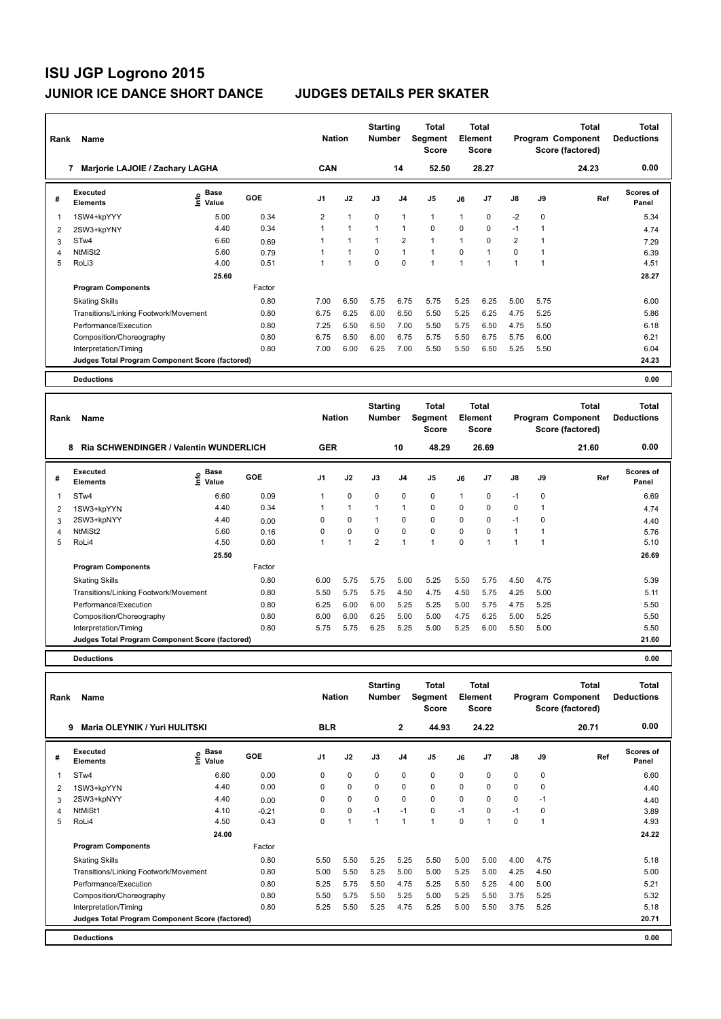| Rank                    | Name                                            |                              |        | <b>Nation</b>  |                | <b>Starting</b><br><b>Number</b> |                | Total<br>Segment<br><b>Score</b> |                | <b>Total</b><br>Element<br><b>Score</b> |                      |             | <b>Total</b><br>Program Component<br>Score (factored) | <b>Total</b><br><b>Deductions</b> |
|-------------------------|-------------------------------------------------|------------------------------|--------|----------------|----------------|----------------------------------|----------------|----------------------------------|----------------|-----------------------------------------|----------------------|-------------|-------------------------------------------------------|-----------------------------------|
|                         | Marjorie LAJOIE / Zachary LAGHA                 |                              |        | <b>CAN</b>     |                |                                  | 14             | 52.50                            |                | 28.27                                   |                      |             | 24.23                                                 | 0.00                              |
| #                       | Executed<br><b>Elements</b>                     | <b>Base</b><br>lnfo<br>Value | GOE    | J <sub>1</sub> | J2             | J3                               | J <sub>4</sub> | J <sub>5</sub>                   | J6             | J7                                      | $\mathsf{J}8$        | J9          | Ref                                                   | <b>Scores of</b><br>Panel         |
| $\overline{\mathbf{1}}$ | 1SW4+kpYYY                                      | 5.00                         | 0.34   | 2              | $\overline{1}$ | $\Omega$                         | 1              | $\mathbf{1}$                     | 1              | 0                                       | $-2$                 | $\mathbf 0$ |                                                       | 5.34                              |
| 2                       | 2SW3+kpYNY                                      | 4.40                         | 0.34   |                | $\overline{1}$ | $\overline{1}$                   | $\overline{1}$ | $\mathbf 0$                      | $\Omega$       | 0                                       | $-1$                 |             |                                                       | 4.74                              |
| 3                       | ST <sub>w</sub> 4                               | 6.60                         | 0.69   |                | $\overline{1}$ | $\overline{1}$                   | $\overline{2}$ | $\mathbf{1}$                     | 1              | 0                                       | $\overline{2}$       |             |                                                       | 7.29                              |
| 4                       | NtMiSt2                                         | 5.60                         | 0.79   |                | $\overline{1}$ | $\mathbf 0$                      | $\mathbf{1}$   | $\mathbf{1}$                     | $\Omega$       | 1                                       | $\Omega$             |             |                                                       | 6.39                              |
| 5                       | RoLi3                                           | 4.00                         | 0.51   |                | $\overline{1}$ | $\mathbf 0$                      | $\mathbf 0$    | $\overline{1}$                   | $\overline{1}$ | 1                                       | $\blacktriangleleft$ |             |                                                       | 4.51                              |
|                         |                                                 | 25.60                        |        |                |                |                                  |                |                                  |                |                                         |                      |             |                                                       | 28.27                             |
|                         | <b>Program Components</b>                       |                              | Factor |                |                |                                  |                |                                  |                |                                         |                      |             |                                                       |                                   |
|                         | <b>Skating Skills</b>                           |                              | 0.80   | 7.00           | 6.50           | 5.75                             | 6.75           | 5.75                             | 5.25           | 6.25                                    | 5.00                 | 5.75        |                                                       | 6.00                              |
|                         | Transitions/Linking Footwork/Movement           |                              | 0.80   | 6.75           | 6.25           | 6.00                             | 6.50           | 5.50                             | 5.25           | 6.25                                    | 4.75                 | 5.25        |                                                       | 5.86                              |
|                         | Performance/Execution                           |                              | 0.80   | 7.25           | 6.50           | 6.50                             | 7.00           | 5.50                             | 5.75           | 6.50                                    | 4.75                 | 5.50        |                                                       | 6.18                              |
|                         | Composition/Choreography                        |                              | 0.80   | 6.75           | 6.50           | 6.00                             | 6.75           | 5.75                             | 5.50           | 6.75                                    | 5.75                 | 6.00        |                                                       | 6.21                              |
|                         | Interpretation/Timing                           |                              | 0.80   | 7.00           | 6.00           | 6.25                             | 7.00           | 5.50                             | 5.50           | 6.50                                    | 5.25                 | 5.50        |                                                       | 6.04                              |
|                         | Judges Total Program Component Score (factored) |                              |        |                |                |                                  |                |                                  |                |                                         |                      |             |                                                       | 24.23                             |
|                         | <b>Deductions</b>                               |                              |        |                |                |                                  |                |                                  |                |                                         |                      |             |                                                       | 0.00                              |

| Rank | Name                                            |                                           |            | <b>Nation</b> |              | <b>Starting</b><br><b>Number</b> |                | Total<br>Segment<br><b>Score</b> |              | <b>Total</b><br>Element<br><b>Score</b> |              |             | <b>Total</b><br>Program Component<br>Score (factored) | <b>Total</b><br><b>Deductions</b> |
|------|-------------------------------------------------|-------------------------------------------|------------|---------------|--------------|----------------------------------|----------------|----------------------------------|--------------|-----------------------------------------|--------------|-------------|-------------------------------------------------------|-----------------------------------|
|      | 8<br>Ria SCHWENDINGER / Valentin WUNDERLICH     |                                           |            | <b>GER</b>    |              |                                  | 10             | 48.29                            |              | 26.69                                   |              |             | 21.60                                                 | 0.00                              |
| #    | Executed<br><b>Elements</b>                     | $\frac{e}{E}$ Base<br>$\frac{e}{E}$ Value | <b>GOE</b> | J1            | J2           | J3                               | J <sub>4</sub> | J5                               | J6           | J7                                      | J8           | J9          | Ref                                                   | <b>Scores of</b><br>Panel         |
|      | STw4                                            | 6.60                                      | 0.09       | 1             | $\mathbf 0$  | $\mathbf 0$                      | $\mathbf 0$    | $\mathbf 0$                      | $\mathbf{1}$ | 0                                       | $-1$         | 0           |                                                       | 6.69                              |
| 2    | 1SW3+kpYYN                                      | 4.40                                      | 0.34       |               | $\mathbf{1}$ |                                  | $\mathbf{1}$   | $\mathbf 0$                      | 0            | 0                                       | $\mathbf 0$  |             |                                                       | 4.74                              |
| 3    | 2SW3+kpNYY                                      | 4.40                                      | 0.00       | 0             | $\mathbf 0$  |                                  | 0              | $\mathbf 0$                      | 0            | 0                                       | $-1$         | $\mathbf 0$ |                                                       | 4.40                              |
| 4    | NtMiSt2                                         | 5.60                                      | 0.16       | 0             | $\mathbf 0$  | 0                                | $\mathbf 0$    | $\mathbf 0$                      | 0            | 0                                       | $\mathbf{1}$ |             |                                                       | 5.76                              |
| 5    | RoLi4                                           | 4.50                                      | 0.60       |               | 1            | $\overline{2}$                   | $\overline{1}$ | $\overline{1}$                   | $\Omega$     |                                         |              |             |                                                       | 5.10                              |
|      |                                                 | 25.50                                     |            |               |              |                                  |                |                                  |              |                                         |              |             |                                                       | 26.69                             |
|      | <b>Program Components</b>                       |                                           | Factor     |               |              |                                  |                |                                  |              |                                         |              |             |                                                       |                                   |
|      | <b>Skating Skills</b>                           |                                           | 0.80       | 6.00          | 5.75         | 5.75                             | 5.00           | 5.25                             | 5.50         | 5.75                                    | 4.50         | 4.75        |                                                       | 5.39                              |
|      | Transitions/Linking Footwork/Movement           |                                           | 0.80       | 5.50          | 5.75         | 5.75                             | 4.50           | 4.75                             | 4.50         | 5.75                                    | 4.25         | 5.00        |                                                       | 5.11                              |
|      | Performance/Execution                           |                                           | 0.80       | 6.25          | 6.00         | 6.00                             | 5.25           | 5.25                             | 5.00         | 5.75                                    | 4.75         | 5.25        |                                                       | 5.50                              |
|      | Composition/Choreography                        |                                           | 0.80       | 6.00          | 6.00         | 6.25                             | 5.00           | 5.00                             | 4.75         | 6.25                                    | 5.00         | 5.25        |                                                       | 5.50                              |
|      | Interpretation/Timing                           |                                           | 0.80       | 5.75          | 5.75         | 6.25                             | 5.25           | 5.00                             | 5.25         | 6.00                                    | 5.50         | 5.00        |                                                       | 5.50                              |
|      | Judges Total Program Component Score (factored) |                                           |            |               |              |                                  |                |                                  |              |                                         |              |             |                                                       | 21.60                             |
|      | <b>Deductions</b>                               |                                           |            |               |              |                                  |                |                                  |              |                                         |              |             |                                                       | 0.00                              |

| Rank | <b>Name</b>                                     |                              |         | <b>Nation</b>  |             | <b>Starting</b><br><b>Number</b> |                | Total<br>Segment<br><b>Score</b> |      | Total<br>Element<br><b>Score</b> |      |      | <b>Total</b><br>Program Component<br>Score (factored) | <b>Total</b><br><b>Deductions</b> |
|------|-------------------------------------------------|------------------------------|---------|----------------|-------------|----------------------------------|----------------|----------------------------------|------|----------------------------------|------|------|-------------------------------------------------------|-----------------------------------|
|      | 9<br>Maria OLEYNIK / Yuri HULITSKI              |                              |         | <b>BLR</b>     |             |                                  | $\mathbf{2}$   | 44.93                            |      | 24.22                            |      |      | 20.71                                                 | 0.00                              |
| #    | Executed<br><b>Elements</b>                     | <b>Base</b><br>١nf٥<br>Value | GOE     | J <sub>1</sub> | J2          | J3                               | J <sub>4</sub> | J5                               | J6   | J <sub>7</sub>                   | J8   | J9   | Ref                                                   | <b>Scores of</b><br>Panel         |
| 1    | ST <sub>w</sub> 4                               | 6.60                         | 0.00    | 0              | 0           | 0                                | 0              | 0                                | 0    | 0                                | 0    | 0    |                                                       | 6.60                              |
| 2    | 1SW3+kpYYN                                      | 4.40                         | 0.00    | 0              | 0           | 0                                | 0              | 0                                | 0    | 0                                | 0    | 0    |                                                       | 4.40                              |
| 3    | 2SW3+kpNYY                                      | 4.40                         | 0.00    | 0              | $\mathbf 0$ | $\Omega$                         | 0              | $\mathbf 0$                      | 0    | 0                                | 0    | $-1$ |                                                       | 4.40                              |
| 4    | NtMiSt1                                         | 4.10                         | $-0.21$ | 0              | $\mathbf 0$ | $-1$                             | $-1$           | $\mathbf 0$                      | $-1$ | $\Omega$                         | $-1$ | 0    |                                                       | 3.89                              |
| 5    | RoLi4                                           | 4.50                         | 0.43    | 0              | 1           | 1                                | $\overline{1}$ | 1                                | 0    |                                  | 0    | 1    |                                                       | 4.93                              |
|      |                                                 | 24.00                        |         |                |             |                                  |                |                                  |      |                                  |      |      |                                                       | 24.22                             |
|      | <b>Program Components</b>                       |                              | Factor  |                |             |                                  |                |                                  |      |                                  |      |      |                                                       |                                   |
|      | <b>Skating Skills</b>                           |                              | 0.80    | 5.50           | 5.50        | 5.25                             | 5.25           | 5.50                             | 5.00 | 5.00                             | 4.00 | 4.75 |                                                       | 5.18                              |
|      | Transitions/Linking Footwork/Movement           |                              | 0.80    | 5.00           | 5.50        | 5.25                             | 5.00           | 5.00                             | 5.25 | 5.00                             | 4.25 | 4.50 |                                                       | 5.00                              |
|      | Performance/Execution                           |                              | 0.80    | 5.25           | 5.75        | 5.50                             | 4.75           | 5.25                             | 5.50 | 5.25                             | 4.00 | 5.00 |                                                       | 5.21                              |
|      | Composition/Choreography                        |                              | 0.80    | 5.50           | 5.75        | 5.50                             | 5.25           | 5.00                             | 5.25 | 5.50                             | 3.75 | 5.25 |                                                       | 5.32                              |
|      | Interpretation/Timing                           |                              | 0.80    | 5.25           | 5.50        | 5.25                             | 4.75           | 5.25                             | 5.00 | 5.50                             | 3.75 | 5.25 |                                                       | 5.18                              |
|      | Judges Total Program Component Score (factored) |                              |         |                |             |                                  |                |                                  |      |                                  |      |      |                                                       | 20.71                             |
|      | <b>Deductions</b>                               |                              |         |                |             |                                  |                |                                  |      |                                  |      |      |                                                       | 0.00                              |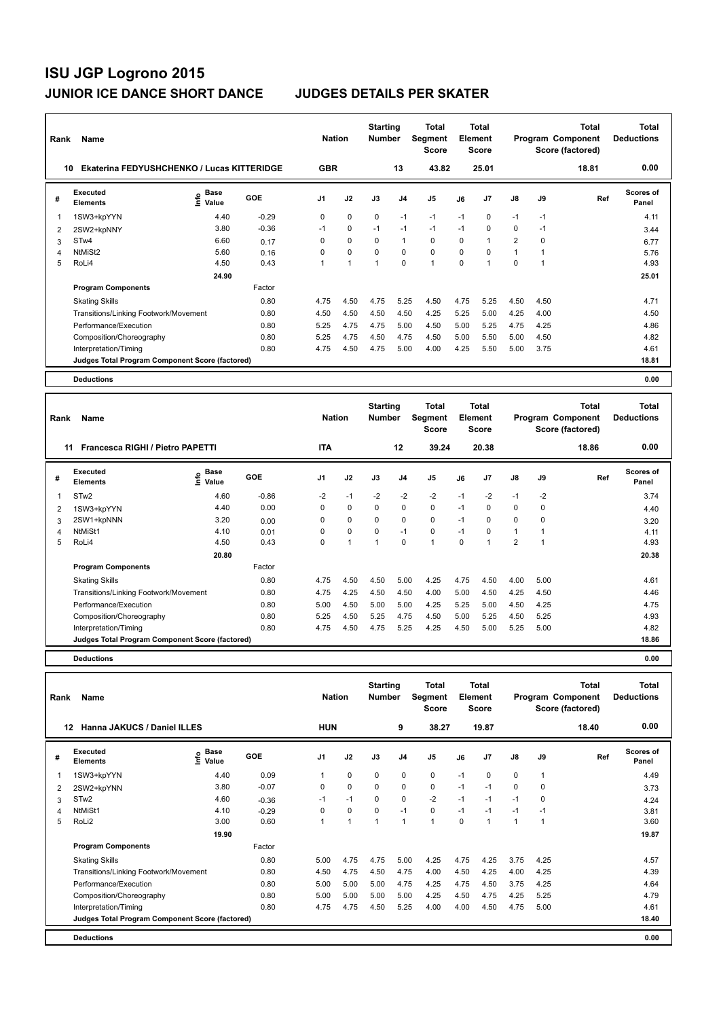| Rank                    | Name                                              |                                  |         | <b>Nation</b>  |             | <b>Starting</b><br><b>Number</b> |                | <b>Total</b><br>Segment<br><b>Score</b> |          | <b>Total</b><br>Element<br><b>Score</b> |                |             | <b>Total</b><br>Program Component<br>Score (factored) | <b>Total</b><br><b>Deductions</b> |
|-------------------------|---------------------------------------------------|----------------------------------|---------|----------------|-------------|----------------------------------|----------------|-----------------------------------------|----------|-----------------------------------------|----------------|-------------|-------------------------------------------------------|-----------------------------------|
| 10                      | <b>Ekaterina FEDYUSHCHENKO / Lucas KITTERIDGE</b> |                                  |         | <b>GBR</b>     |             |                                  | 13             | 43.82                                   |          | 25.01                                   |                |             | 18.81                                                 | 0.00                              |
| #                       | Executed<br><b>Elements</b>                       | <b>Base</b><br>e Base<br>⊆ Value | GOE     | J <sub>1</sub> | J2          | J3                               | J <sub>4</sub> | J <sub>5</sub>                          | J6       | J <sub>7</sub>                          | $\mathsf{J}8$  | J9          | Ref                                                   | <b>Scores of</b><br>Panel         |
| $\overline{\mathbf{1}}$ | 1SW3+kpYYN                                        | 4.40                             | $-0.29$ | 0              | $\mathbf 0$ | $\Omega$                         | $-1$           | $-1$                                    | $-1$     | $\Omega$                                | $-1$           | $-1$        |                                                       | 4.11                              |
| $\overline{2}$          | 2SW2+kpNNY                                        | 3.80                             | $-0.36$ | $-1$           | 0           | $-1$                             | $-1$           | $-1$                                    | $-1$     | $\Omega$                                | 0              | $-1$        |                                                       | 3.44                              |
| 3                       | STw4                                              | 6.60                             | 0.17    | 0              | $\mathbf 0$ | 0                                | $\mathbf{1}$   | $\mathbf 0$                             | $\Omega$ | 1                                       | $\overline{2}$ | $\mathbf 0$ |                                                       | 6.77                              |
| 4                       | NtMiSt2                                           | 5.60                             | 0.16    | 0              | $\mathbf 0$ | $\Omega$                         | 0              | $\mathbf 0$                             | $\Omega$ | $\Omega$                                | $\mathbf{1}$   |             |                                                       | 5.76                              |
| 5                       | RoLi4                                             | 4.50                             | 0.43    |                | 1           | 1                                | $\Omega$       | $\blacktriangleleft$                    | $\Omega$ | 1                                       | $\Omega$       |             |                                                       | 4.93                              |
|                         |                                                   | 24.90                            |         |                |             |                                  |                |                                         |          |                                         |                |             |                                                       | 25.01                             |
|                         | <b>Program Components</b>                         |                                  | Factor  |                |             |                                  |                |                                         |          |                                         |                |             |                                                       |                                   |
|                         | <b>Skating Skills</b>                             |                                  | 0.80    | 4.75           | 4.50        | 4.75                             | 5.25           | 4.50                                    | 4.75     | 5.25                                    | 4.50           | 4.50        |                                                       | 4.71                              |
|                         | Transitions/Linking Footwork/Movement             |                                  | 0.80    | 4.50           | 4.50        | 4.50                             | 4.50           | 4.25                                    | 5.25     | 5.00                                    | 4.25           | 4.00        |                                                       | 4.50                              |
|                         | Performance/Execution                             |                                  | 0.80    | 5.25           | 4.75        | 4.75                             | 5.00           | 4.50                                    | 5.00     | 5.25                                    | 4.75           | 4.25        |                                                       | 4.86                              |
|                         | Composition/Choreography                          |                                  | 0.80    | 5.25           | 4.75        | 4.50                             | 4.75           | 4.50                                    | 5.00     | 5.50                                    | 5.00           | 4.50        |                                                       | 4.82                              |
|                         | Interpretation/Timing                             |                                  | 0.80    | 4.75           | 4.50        | 4.75                             | 5.00           | 4.00                                    | 4.25     | 5.50                                    | 5.00           | 3.75        |                                                       | 4.61                              |
|                         | Judges Total Program Component Score (factored)   |                                  |         |                |             |                                  |                |                                         |          |                                         |                |             |                                                       | 18.81                             |
|                         | <b>Deductions</b>                                 |                                  |         |                |             |                                  |                |                                         |          |                                         |                |             |                                                       | 0.00                              |

| Rank | Name                                            |                            |         | <b>Nation</b>  |                | <b>Starting</b><br><b>Number</b> |                | <b>Total</b><br>Segment<br><b>Score</b> |          | Total<br>Element<br><b>Score</b> |                |      | <b>Total</b><br>Program Component<br>Score (factored) | Total<br><b>Deductions</b> |
|------|-------------------------------------------------|----------------------------|---------|----------------|----------------|----------------------------------|----------------|-----------------------------------------|----------|----------------------------------|----------------|------|-------------------------------------------------------|----------------------------|
|      | Francesca RIGHI / Pietro PAPETTI<br>11          |                            |         | <b>ITA</b>     |                |                                  | 12             | 39.24                                   |          | 20.38                            |                |      | 18.86                                                 | 0.00                       |
| #    | Executed<br><b>Elements</b>                     | e Base<br>⊆ Value<br>Value | GOE     | J <sub>1</sub> | J2             | J3                               | J <sub>4</sub> | J <sub>5</sub>                          | J6       | J7                               | $\mathsf{J}8$  | J9   | Ref                                                   | Scores of<br>Panel         |
| 1    | STw <sub>2</sub>                                | 4.60                       | $-0.86$ | $-2$           | $-1$           | $-2$                             | $-2$           | $-2$                                    | $-1$     | $-2$                             | $-1$           | $-2$ |                                                       | 3.74                       |
| 2    | 1SW3+kpYYN                                      | 4.40                       | 0.00    | 0              | $\mathbf 0$    | 0                                | 0              | $\mathbf 0$                             | $-1$     | 0                                | 0              | 0    |                                                       | 4.40                       |
| 3    | 2SW1+kpNNN                                      | 3.20                       | 0.00    | $\Omega$       | $\mathbf 0$    | $\Omega$                         | $\Omega$       | $\mathbf 0$                             | $-1$     | $\Omega$                         | $\mathbf 0$    | 0    |                                                       | 3.20                       |
| 4    | NtMiSt1                                         | 4.10                       | 0.01    | 0              | $\mathbf 0$    | $\Omega$                         | $-1$           | $\mathbf 0$                             | $-1$     | $\Omega$                         | $\mathbf{1}$   | 1    |                                                       | 4.11                       |
| 5    | RoLi4                                           | 4.50                       | 0.43    | 0              | $\overline{1}$ | $\overline{A}$                   | $\Omega$       | 1                                       | $\Omega$ |                                  | $\overline{2}$ | 1    |                                                       | 4.93                       |
|      |                                                 | 20.80                      |         |                |                |                                  |                |                                         |          |                                  |                |      |                                                       | 20.38                      |
|      | <b>Program Components</b>                       |                            | Factor  |                |                |                                  |                |                                         |          |                                  |                |      |                                                       |                            |
|      | <b>Skating Skills</b>                           |                            | 0.80    | 4.75           | 4.50           | 4.50                             | 5.00           | 4.25                                    | 4.75     | 4.50                             | 4.00           | 5.00 |                                                       | 4.61                       |
|      | Transitions/Linking Footwork/Movement           |                            | 0.80    | 4.75           | 4.25           | 4.50                             | 4.50           | 4.00                                    | 5.00     | 4.50                             | 4.25           | 4.50 |                                                       | 4.46                       |
|      | Performance/Execution                           |                            | 0.80    | 5.00           | 4.50           | 5.00                             | 5.00           | 4.25                                    | 5.25     | 5.00                             | 4.50           | 4.25 |                                                       | 4.75                       |
|      | Composition/Choreography                        |                            | 0.80    | 5.25           | 4.50           | 5.25                             | 4.75           | 4.50                                    | 5.00     | 5.25                             | 4.50           | 5.25 |                                                       | 4.93                       |
|      | Interpretation/Timing                           |                            | 0.80    | 4.75           | 4.50           | 4.75                             | 5.25           | 4.25                                    | 4.50     | 5.00                             | 5.25           | 5.00 |                                                       | 4.82                       |
|      | Judges Total Program Component Score (factored) |                            |         |                |                |                                  |                |                                         |          |                                  |                |      |                                                       | 18.86                      |
|      | <b>Deductions</b>                               |                            |         |                |                |                                  |                |                                         |          |                                  |                |      |                                                       | 0.00                       |

| Rank | <b>Name</b>                                     |                              |         | <b>Nation</b>  |             | <b>Starting</b><br><b>Number</b> |                | Total<br>Segment<br><b>Score</b> |          | Total<br>Element<br><b>Score</b> |                |              | <b>Total</b><br>Program Component<br>Score (factored) | Total<br><b>Deductions</b> |
|------|-------------------------------------------------|------------------------------|---------|----------------|-------------|----------------------------------|----------------|----------------------------------|----------|----------------------------------|----------------|--------------|-------------------------------------------------------|----------------------------|
| 12   | Hanna JAKUCS / Daniel ILLES                     |                              |         | <b>HUN</b>     |             |                                  | 9              | 38.27                            |          | 19.87                            |                |              | 18.40                                                 | 0.00                       |
| #    | Executed<br><b>Elements</b>                     | <b>Base</b><br>١nf٥<br>Value | GOE     | J <sub>1</sub> | J2          | J3                               | J <sub>4</sub> | J5                               | J6       | J <sub>7</sub>                   | J8             | J9           | Ref                                                   | Scores of<br>Panel         |
| 1    | 1SW3+kpYYN                                      | 4.40                         | 0.09    |                | $\mathbf 0$ | 0                                | 0              | $\pmb{0}$                        | $-1$     | 0                                | 0              | $\mathbf{1}$ |                                                       | 4.49                       |
| 2    | 2SW2+kpYNN                                      | 3.80                         | $-0.07$ | 0              | $\mathbf 0$ | 0                                | $\mathbf 0$    | $\mathbf 0$                      | $-1$     | $-1$                             | $\mathbf 0$    | 0            |                                                       | 3.73                       |
| 3    | STw <sub>2</sub>                                | 4.60                         | $-0.36$ | $-1$           | $-1$        | $\Omega$                         | $\mathbf 0$    | $-2$                             | $-1$     | $-1$                             | $-1$           | 0            |                                                       | 4.24                       |
| 4    | NtMiSt1                                         | 4.10                         | $-0.29$ | 0              | $\mathbf 0$ | $\Omega$                         | $-1$           | $\mathbf 0$                      | $-1$     | $-1$                             | $-1$           | $-1$         |                                                       | 3.81                       |
| 5    | RoLi2                                           | 3.00                         | 0.60    |                |             | 1                                | 1              | 1                                | $\Omega$ |                                  | $\overline{1}$ | 1            |                                                       | 3.60                       |
|      |                                                 | 19.90                        |         |                |             |                                  |                |                                  |          |                                  |                |              |                                                       | 19.87                      |
|      | <b>Program Components</b>                       |                              | Factor  |                |             |                                  |                |                                  |          |                                  |                |              |                                                       |                            |
|      | <b>Skating Skills</b>                           |                              | 0.80    | 5.00           | 4.75        | 4.75                             | 5.00           | 4.25                             | 4.75     | 4.25                             | 3.75           | 4.25         |                                                       | 4.57                       |
|      | Transitions/Linking Footwork/Movement           |                              | 0.80    | 4.50           | 4.75        | 4.50                             | 4.75           | 4.00                             | 4.50     | 4.25                             | 4.00           | 4.25         |                                                       | 4.39                       |
|      | Performance/Execution                           |                              | 0.80    | 5.00           | 5.00        | 5.00                             | 4.75           | 4.25                             | 4.75     | 4.50                             | 3.75           | 4.25         |                                                       | 4.64                       |
|      | Composition/Choreography                        |                              | 0.80    | 5.00           | 5.00        | 5.00                             | 5.00           | 4.25                             | 4.50     | 4.75                             | 4.25           | 5.25         |                                                       | 4.79                       |
|      | Interpretation/Timing                           |                              | 0.80    | 4.75           | 4.75        | 4.50                             | 5.25           | 4.00                             | 4.00     | 4.50                             | 4.75           | 5.00         |                                                       | 4.61                       |
|      | Judges Total Program Component Score (factored) |                              |         |                |             |                                  |                |                                  |          |                                  |                |              |                                                       | 18.40                      |
|      | <b>Deductions</b>                               |                              |         |                |             |                                  |                |                                  |          |                                  |                |              |                                                       | 0.00                       |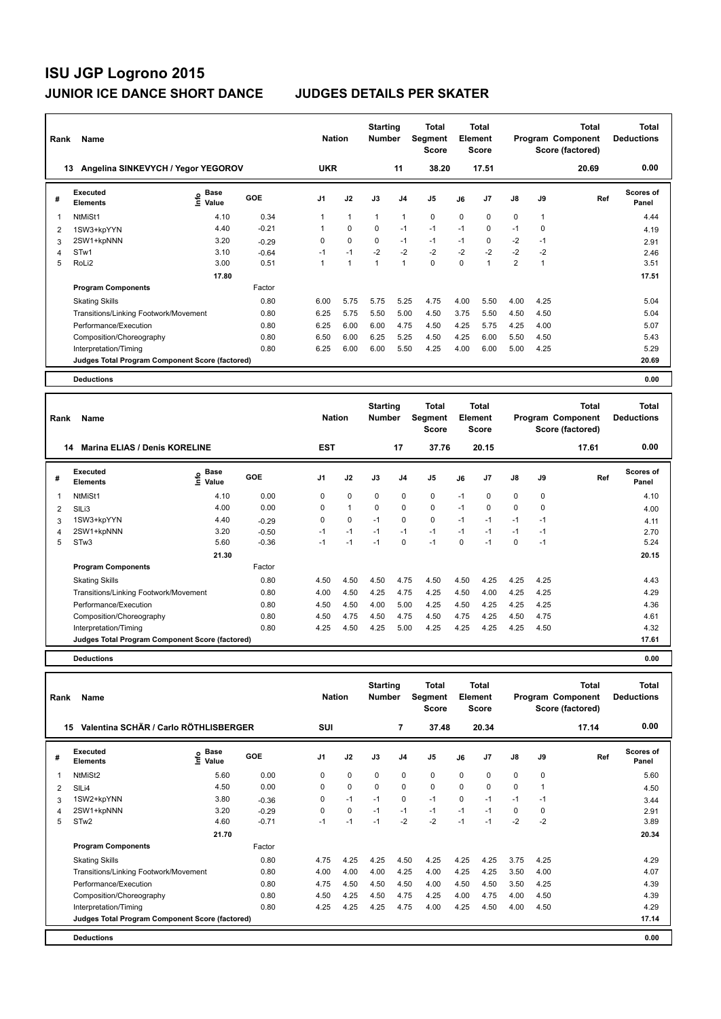| Rank | Name                                            |                              |         | <b>Nation</b>  |                | <b>Starting</b><br><b>Number</b> |                | <b>Total</b><br>Segment<br><b>Score</b> |          | <b>Total</b><br>Element<br><b>Score</b> |                |                | <b>Total</b><br>Program Component<br>Score (factored) | <b>Total</b><br><b>Deductions</b> |
|------|-------------------------------------------------|------------------------------|---------|----------------|----------------|----------------------------------|----------------|-----------------------------------------|----------|-----------------------------------------|----------------|----------------|-------------------------------------------------------|-----------------------------------|
|      | Angelina SINKEVYCH / Yegor YEGOROV<br>13        |                              |         | <b>UKR</b>     |                |                                  | 11             | 38.20                                   |          | 17.51                                   |                |                | 20.69                                                 | 0.00                              |
| #    | Executed<br><b>Elements</b>                     | <b>Base</b><br>lnfo<br>Value | GOE     | J <sub>1</sub> | J2             | J3                               | J <sub>4</sub> | J5                                      | J6       | J7                                      | $\mathsf{J}8$  | J9             | Ref                                                   | <b>Scores of</b><br>Panel         |
| -1   | NtMiSt1                                         | 4.10                         | 0.34    |                | $\overline{1}$ | $\overline{1}$                   | $\mathbf{1}$   | $\mathbf 0$                             | $\Omega$ | $\Omega$                                | $\mathbf 0$    | 1              |                                                       | 4.44                              |
| 2    | 1SW3+kpYYN                                      | 4.40                         | $-0.21$ |                | $\mathbf 0$    | $\Omega$                         | $-1$           | $-1$                                    | $-1$     | $\Omega$                                | $-1$           | 0              |                                                       | 4.19                              |
| 3    | 2SW1+kpNNN                                      | 3.20                         | $-0.29$ | 0              | $\mathbf 0$    | 0                                | $-1$           | $-1$                                    | $-1$     | 0                                       | $-2$           | $-1$           |                                                       | 2.91                              |
| 4    | STw1                                            | 3.10                         | $-0.64$ | $-1$           | $-1$           | $-2$                             | $-2$           | $-2$                                    | $-2$     | $-2$                                    | $-2$           | $-2$           |                                                       | 2.46                              |
| 5    | RoLi2                                           | 3.00                         | 0.51    |                | 1              | $\overline{1}$                   | 1              | $\mathbf 0$                             | $\Omega$ | $\overline{ }$                          | $\overline{2}$ | $\overline{ }$ |                                                       | 3.51                              |
|      |                                                 | 17.80                        |         |                |                |                                  |                |                                         |          |                                         |                |                |                                                       | 17.51                             |
|      | <b>Program Components</b>                       |                              | Factor  |                |                |                                  |                |                                         |          |                                         |                |                |                                                       |                                   |
|      | <b>Skating Skills</b>                           |                              | 0.80    | 6.00           | 5.75           | 5.75                             | 5.25           | 4.75                                    | 4.00     | 5.50                                    | 4.00           | 4.25           |                                                       | 5.04                              |
|      | Transitions/Linking Footwork/Movement<br>0.80   |                              | 6.25    | 5.75           | 5.50           | 5.00                             | 4.50           | 3.75                                    | 5.50     | 4.50                                    | 4.50           |                | 5.04                                                  |                                   |
|      | Performance/Execution                           |                              | 0.80    | 6.25           | 6.00           | 6.00                             | 4.75           | 4.50                                    | 4.25     | 5.75                                    | 4.25           | 4.00           |                                                       | 5.07                              |
|      | Composition/Choreography                        |                              | 0.80    | 6.50           | 6.00           | 6.25                             | 5.25           | 4.50                                    | 4.25     | 6.00                                    | 5.50           | 4.50           |                                                       | 5.43                              |
|      | Interpretation/Timing                           |                              | 0.80    | 6.25           | 6.00           | 6.00                             | 5.50           | 4.25                                    | 4.00     | 6.00                                    | 5.00           | 4.25           |                                                       | 5.29                              |
|      | Judges Total Program Component Score (factored) |                              |         |                |                |                                  |                |                                         |          |                                         |                |                |                                                       | 20.69                             |
|      | <b>Deductions</b>                               |                              |         |                |                |                                  |                |                                         |          |                                         |                |                |                                                       | 0.00                              |

| Rank | Name                                            |                   |            | <b>Nation</b>  |              | <b>Starting</b><br><b>Number</b> |                | <b>Total</b><br>Segment<br>Score |          | Total<br><b>Element</b><br><b>Score</b> |             |      | <b>Total</b><br>Program Component<br>Score (factored) | <b>Total</b><br><b>Deductions</b> |
|------|-------------------------------------------------|-------------------|------------|----------------|--------------|----------------------------------|----------------|----------------------------------|----------|-----------------------------------------|-------------|------|-------------------------------------------------------|-----------------------------------|
|      | <b>Marina ELIAS / Denis KORELINE</b><br>14      |                   |            | <b>EST</b>     |              |                                  | 17             | 37.76                            |          | 20.15                                   |             |      | 17.61                                                 | 0.00                              |
| #    | Executed<br><b>Elements</b>                     | e Base<br>⊆ Value | <b>GOE</b> | J <sub>1</sub> | J2           | J3                               | J <sub>4</sub> | J5                               | J6       | J <sub>7</sub>                          | J8          | J9   | Ref                                                   | <b>Scores of</b><br>Panel         |
|      | NtMiSt1                                         | 4.10              | 0.00       | 0              | $\mathbf 0$  | 0                                | 0              | 0                                | $-1$     | 0                                       | $\mathbf 0$ | 0    |                                                       | 4.10                              |
| 2    | SILi3                                           | 4.00              | 0.00       | 0              | $\mathbf{1}$ | 0                                | 0              | $\mathbf 0$                      | $-1$     | 0                                       | $\mathbf 0$ | 0    |                                                       | 4.00                              |
| 3    | 1SW3+kpYYN                                      | 4.40              | $-0.29$    | 0              | 0            | $-1$                             | 0              | $\mathbf 0$                      | $-1$     | $-1$                                    | $-1$        | $-1$ |                                                       | 4.11                              |
| 4    | 2SW1+kpNNN                                      | 3.20              | $-0.50$    | $-1$           | $-1$         | $-1$                             | $-1$           | $-1$                             | $-1$     | $-1$                                    | $-1$        | $-1$ |                                                       | 2.70                              |
| 5    | STw3                                            | 5.60              | $-0.36$    | $-1$           | $-1$         | $-1$                             | 0              | $-1$                             | $\Omega$ | $-1$                                    | $\Omega$    | $-1$ |                                                       | 5.24                              |
|      |                                                 | 21.30             |            |                |              |                                  |                |                                  |          |                                         |             |      |                                                       | 20.15                             |
|      | <b>Program Components</b>                       |                   | Factor     |                |              |                                  |                |                                  |          |                                         |             |      |                                                       |                                   |
|      | <b>Skating Skills</b>                           |                   | 0.80       | 4.50           | 4.50         | 4.50                             | 4.75           | 4.50                             | 4.50     | 4.25                                    | 4.25        | 4.25 |                                                       | 4.43                              |
|      | Transitions/Linking Footwork/Movement           |                   | 0.80       | 4.00           | 4.50         | 4.25                             | 4.75           | 4.25                             | 4.50     | 4.00                                    | 4.25        | 4.25 |                                                       | 4.29                              |
|      | Performance/Execution                           |                   | 0.80       | 4.50           | 4.50         | 4.00                             | 5.00           | 4.25                             | 4.50     | 4.25                                    | 4.25        | 4.25 |                                                       | 4.36                              |
|      | Composition/Choreography                        |                   | 0.80       | 4.50           | 4.75         | 4.50                             | 4.75           | 4.50                             | 4.75     | 4.25                                    | 4.50        | 4.75 |                                                       | 4.61                              |
|      | Interpretation/Timing                           |                   | 0.80       | 4.25           | 4.50         | 4.25                             | 5.00           | 4.25                             | 4.25     | 4.25                                    | 4.25        | 4.50 |                                                       | 4.32                              |
|      | Judges Total Program Component Score (factored) |                   |            |                |              |                                  |                |                                  |          |                                         |             |      |                                                       | 17.61                             |
|      | $   -$                                          |                   |            |                |              |                                  |                |                                  |          |                                         |             |      |                                                       |                                   |

**Deductions 0.00 Total Deductions Total Program Component Score (factored) Total Element Segment Score Total Score Starting Rank Name Nation Number # Executed Elements Base Value GOE J1 J2 J3 J4 J5 J6 J7 J8 J9 Scores of Panel** 1 5.60 0.00 0 0 0 0 0 0 0 0 0 **Ref**  سان المسابقة المسابقة المسابقة المسابقة المسابقة المسابقة المسابقة المسابقة المسابقة المسابقة المسابقة المسابق<br>19 Internets - Elements II value - 5.60 0.00 0 0 0 0 0 0 0 0 0 0 0 0 5.60<br>NtMiSt2 - 5.60 0.00 0 0 0 0 0 0 0 0  **15 Valentina SCHÄR / Carlo RÖTHLISBERGER SUI 7 37.48 20.34 17.14 0.00** 2 SlLi4 4.50 0.00 0 0 0 0 0 0 0 0 1 4.50 3 1SW2+kpYNN 3.80 -0.36 0 -1 -1 0 -1 0 -1 -1 -1 3.44 4 2SW1+kpNNN 3.20 -0.29 0 0 -1 -1 -1 -1 -1 0 0 2.91 5 STw2 4.60 -0.71 -1 -1 -1 -2 -2 -1 -1 -2 -2 3.89  **21.70 20.34 Program Components**  Skating Skills 4.75 4.25 4.25 4.50 4.25 4.25 4.25 3.75 4.25 0.80 4.29 Factor Transitions/Linking Footwork/Movement 0.80 4.00 4.00 4.00 4.25 4.00 4.25 4.25 3.50 4.00 4.07 Performance/Execution 0.80 4.75 4.50 4.50 4.50 4.00 4.50 4.50 3.50 4.25 4.39 Composition/Choreography 0.80 4.50 4.25 4.50 4.75 4.25 4.00 4.75 4.00 4.50 4.39 Interpretation/Timing 0.80 4.25 4.25 4.25 4.25 4.25 4.25 4.26 4.29 4.29 4.29 4.29 **Deductions 0.00 Judges Total Program Component Score (factored) 17.14**